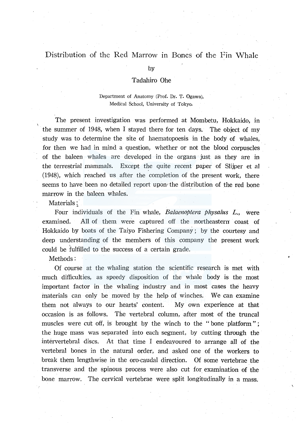# Distribution of the Red Marrow in Bones of the Fin Whale

by

#### Tadahiro Ohe

### Department of Anatomy (Prof. Dr. T. Ogawa), Medical School, University of Tokyo.

The present investigation was performed at Mombetu, Hokkaido, in the summer of 1948, when I stayed there for ten days. The object of my study was to determine the site of haematopoesis in the body of whales, for then we had in mind a question, whether or not the blood corpuscles of the baleen whales are developed in the organs just as they are in the terrestrial mammals. Except the quite recent paper of Slijper et al (1948), which reached us after the completion of the present work, there seems to have been no detailed report upon the distribution of the red bone marrow in the baleen whales.

Materials:

Four individuals of the Fin whale, *Balaenoptera physalus L.*, were examined. All of them were captured off the northeastern coast of Hokkaido by boats of the Taiyo Fishering Company ; by the courtesy and deep understanding of the members of this company the present work could be fulfilled to the success of a certain grade.

Methods:

Of course at the whaling station the scientific research is met with much difficulties, as speedy disposition of the whale body is the most important factor in the whaling industry and in most cases the heavy materials can only be moved by the help of winches. We can examine them not always to our hearts' content. My own experience at that occasion is as follows. The vertebral column, after most of the truncal muscles were cut off, is brought by the winch to the "bone platform"; the huge mass was separated into each segment, by cutting through the intervertebral discs. At that time I endeavoured to arrange all of the vertebral bones in the natural order, and asked one of the workers to break them lengthwise in the oro-caudal direction. Of some vertebrae the transverse and the spinous process were also cut for examination of the bone marrow. The cervical vertebrae were split longitudinally in a mass.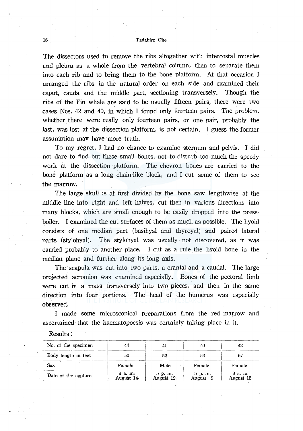#### 18 Tadahiro Ohe

The dissectors used to remove the ribs altogether with intercostal muscles and pleura as a whole from the vertebral column, then to separate them into each rib and to bring them to the bone platform. At that occasion I arranged the ribs in the natural order on each side and examined their caput, cauda and the middle part, sectioning transversely. Though the ribs of the Fin whale are said to be usually fifteen pairs, there were two cases Nos. 42 and 40, in which I found only fourteen pairs. The problem, whether there were really only fourteen pairs, or one pair, probably the last, was lost at the dissection platform, is not certain. I guess the former assumption may have more truth.

To my regret, I had no chance to examine sternum and pelvis. I did not dare to find out these small bones, not to disturb too much the speedy work at the dissection platform. The chevron bones are carried to the bone platform as a long chain-like block, and I cut some of them to see the marrow.

The large skull is at first divided by the bone saw lengthwise at the middle line into right and left halves, cut then in various directions into many blocks, which are small enough to be easily dropped into the pressboiler. I examined the cut surfaces of them as much as possible. The hyoid consists of one median part (basihyal and thyroyal) and paired lateral parts (stylohyal). The stylohyal was usually not discovered, as it was carried probably to another place. I cut as a rule the hyoid bone in the median plane and further along its long axis.

The scapula was cut into two parts, a cranial and a caudal. The large projected acromion was examined especially. Bones of the pectoral limb were cut in a mass transversely into two pieces, and then in the same direction into four portions. The head of the humerus was especially ·observed.

I made some microscopical preparations from the red marrow and ascertained that the haematopoesis was certainly taking place in it.

| No. of the specimen | 44                   |                        | 40                   | 42                   |
|---------------------|----------------------|------------------------|----------------------|----------------------|
| Body length in feet | 50                   | 52                     | 53                   | 67                   |
| Sex                 | Female               | Male                   | Female               | Female               |
| Date of the capture | 8 a.m.<br>August 14. | $5$ p.m.<br>August 12. | 5 p. m.<br>August 9. | 8 a.m.<br>August 12. |

Results: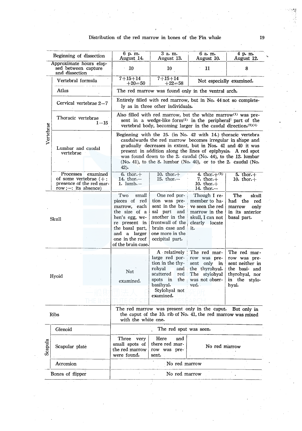# Distribution of the red marrow in bones of the Fin whale 19

| Beginning of dissection           |                                                                                                       | 6 p. m.<br>August 14.                                                                                                                                                                                                                                                                                                                                                                            | 3 a.m.<br>August 13.                                                                                                                           | 6 a.m.<br>August 10.                                                                                            | 4 p.m.<br>August 12.                                                                                         |  |
|-----------------------------------|-------------------------------------------------------------------------------------------------------|--------------------------------------------------------------------------------------------------------------------------------------------------------------------------------------------------------------------------------------------------------------------------------------------------------------------------------------------------------------------------------------------------|------------------------------------------------------------------------------------------------------------------------------------------------|-----------------------------------------------------------------------------------------------------------------|--------------------------------------------------------------------------------------------------------------|--|
|                                   | Approximate hours elap-<br>sed between capture<br>and dissection                                      | 10                                                                                                                                                                                                                                                                                                                                                                                               | 10                                                                                                                                             | 11                                                                                                              | 8                                                                                                            |  |
| Vertebrae                         | Vertebral formula                                                                                     | $7 + 15 + 14$<br>$+20$ $=$ $50$                                                                                                                                                                                                                                                                                                                                                                  | $7 + 15 + 14$<br>$+22=58$                                                                                                                      | Not especially examined.                                                                                        |                                                                                                              |  |
|                                   | Atlas                                                                                                 | The red marrow was found only in the ventral arch.                                                                                                                                                                                                                                                                                                                                               |                                                                                                                                                |                                                                                                                 |                                                                                                              |  |
|                                   | Cervical vertebrae 2-7                                                                                | Entirely filled with red marrow, but in No. 44 not so complete-<br>ly as in three other individuals.                                                                                                                                                                                                                                                                                             |                                                                                                                                                |                                                                                                                 |                                                                                                              |  |
|                                   | Thoracic vertebrae<br>$1 - 15$                                                                        | Also filled with red marrow, but the white marrow $(1)$ was pre-<br>sent in a wedge-like form <sup>(2)</sup> in the peripheral part of the<br>vertebral body, becoming larger in the caudal direction. $(3)(4)$                                                                                                                                                                                  |                                                                                                                                                |                                                                                                                 |                                                                                                              |  |
|                                   | Lumbar and caudal<br>vertebrae                                                                        | Beginning with the 15. (in No. 42 with 14.) thoracic vertebra<br>caudalwards the red marrow becomes irregular in shape and<br>gradually decreases in extent, but in Nos. 41 and 40 it was<br>present in addition along the lines of epiphysis. A red spot<br>was found down to the 2. caudal (No. 44), to the 12. lumbar<br>(No. 41), to the 8. lumbar (No. 40), or to the 2. caudal (No.<br>42) |                                                                                                                                                |                                                                                                                 |                                                                                                              |  |
|                                   | Processes<br>examined<br>of some vertebrae $(+)$ :<br>presence of the red mar-<br>row;-: its absence) | 6. thor. $+$<br>14. thor. $-$<br>1. $lumb.$                                                                                                                                                                                                                                                                                                                                                      | 10. thor. $+$<br>15. thor. $-$                                                                                                                 | 4. thor. $+^{(5)}$<br>7. thor. $+$<br>10. thor. $+$<br>$14.$ thor. $-$                                          | 5. thor. $+$<br>10. thor. $+$                                                                                |  |
| Skull                             |                                                                                                       | Two<br>small<br>pieces of red<br>marrow, each<br>the size of a<br>hen's egg, we-<br>re present in<br>the basal part,<br>and a larger                                                                                                                                                                                                                                                             | One red por-<br>tion was pre-<br>sent in the ba-<br>sal part<br>and<br>another in the<br>frontwall of the<br>brain case and<br>one more in the | Though I re-<br>member to ha-<br>ve seen the red<br>marrow in the<br>skull, I can not<br>clearly locate<br>it.  | The<br>skull<br>had<br>the<br>red<br>marrow<br>only<br>in its anterior<br>basal part.                        |  |
|                                   |                                                                                                       | one in the roof<br>of the brain case.                                                                                                                                                                                                                                                                                                                                                            | occipital part.                                                                                                                                |                                                                                                                 |                                                                                                              |  |
| Hyoid                             |                                                                                                       | Not<br>examined.                                                                                                                                                                                                                                                                                                                                                                                 | A relatively<br>large red por-<br>tion in the thy-<br>rohyal<br>and :<br>scattered<br>red<br>the<br>spots in<br>basihyal.                      | The red mar-<br>row was pre-<br>sent<br>only<br>in<br>the thyrohyal.<br>The stylohyal<br>was not obser-<br>ved. | The red mar-<br>row was pre-<br>sent neither in<br>the basi- and<br>thyrohyal, nor<br>in the stylo-<br>hyal. |  |
|                                   |                                                                                                       |                                                                                                                                                                                                                                                                                                                                                                                                  | Stylohyal not<br>examined.                                                                                                                     |                                                                                                                 |                                                                                                              |  |
| Ribs                              |                                                                                                       | The red marrow was present only in the caput. But only in<br>the caput of the 10. rib of No. 41, the red marrow was mixed<br>with the white one.                                                                                                                                                                                                                                                 |                                                                                                                                                |                                                                                                                 |                                                                                                              |  |
|                                   | Glenoid                                                                                               | The red spot was seen.                                                                                                                                                                                                                                                                                                                                                                           |                                                                                                                                                |                                                                                                                 |                                                                                                              |  |
| Scapula                           | Scapular plate                                                                                        | Three<br>very<br>small spots of<br>the red marrow<br>were found.                                                                                                                                                                                                                                                                                                                                 | Here<br>and<br>there red mar-<br>No red marrow<br>row was pre-<br>sent.                                                                        |                                                                                                                 |                                                                                                              |  |
|                                   | Acromion                                                                                              | No red marrow                                                                                                                                                                                                                                                                                                                                                                                    |                                                                                                                                                |                                                                                                                 |                                                                                                              |  |
| Bones of flipper<br>No red marrow |                                                                                                       |                                                                                                                                                                                                                                                                                                                                                                                                  |                                                                                                                                                |                                                                                                                 |                                                                                                              |  |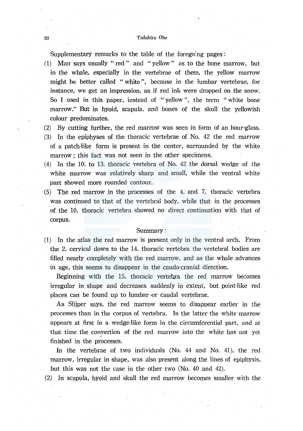#### 20 Tadahiro Ohe

Supplementary remarks to the table of the foregoing pages:

- (1) Man says usually "red" and "yellow" as to the bone marrow, but in the whale, especially in the vertebrae of them, the yellow marrow might be better called ''white", because in the lumbar vertebrae, for instance, we get an impression, as if red ink were dropped on the snow. So I used in this paper, instead of " yellow ", the term " white bone marrow." But in hyoid, scapula, and bones of the skull the yellowish colour predominates.
- (2) By cutting further, the red marrow was seen in form of an hour-glass.
- (3) In the epiphyses of the thoracic vertebrae of No. 42 the red marrow of a patch-like form is present in the center, surrounded by the white marrow : this fact was not seen in the other specimens.
- (4) In the 10. to 13. thoracic vertebra of No. 42 the dorsal wedge of the white marrow was relatively sharp and small, while the ventral white part showed more rounded contour.
- $(5)$  The red marrow in the processes of the 4. and 7. thoracic vertebra was continued to that of the vertebral body, while that in the processes of the 10. thoracic vertebra showed no direct continuation with that of corpus.

#### Summary:

(1) In the atlas the red marrow is present only in the ventral arch. From the 2. cervical down to the 14. thoracic vertebra the vertebral bodies are filled nearly completely with the red marrow, and as the whale advances in age, this seems to disappear in the caudo-cranial direction.

Beginning with the 15. thoracic vertebra the red marrow becomes irregular in shape and decreases suddenly in extent, but point-like red places can be found up to lumbar ·or caudal vertebrae.

As Slijper says, the red marrow seems to disappear earlier in the processes than in the corpus of vertebra. In the latter the white marrow appears at first in a wedge-like form in the circumferential part, and at that time the convertion of the red marrow into the white has not yet finished in the processes.

In the vertebrae of two individuals (No. 44 and No. 41), the red marrow, irregular in shape, was also present along the lines of epiphysis, but this was not the case in the other two (No. 40 and 42).

(2) In scapula, hyoid and skull the red marrow becomes smaller with the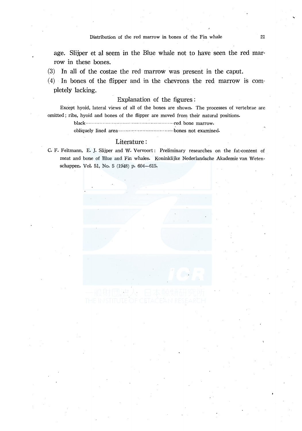Distribution of the red marrow in bones of the Fin whale 21

age. Slijper et al seem in the Blue whale not to have seen the red marrow in these bones.

(3) In all of the costae the red marrow was present in the caput.

 $(4)$  In bones of the flipper and in the chevrons the red marrow is completely lacking.

## Explanation of the figures :

Except hyoid, lateral views of all of the bones are shown. The processes of vertebrae are omitted ; ribs, hyoid and bones of the flipper are moved from their natural positions. black·························································red bone marrow.

obliquely lined area···· · · · · · · · · · · · · · · · · · · · · · · · · · · ······bones not examined.

#### Literature :

C. F. Feltmann, E. J. Slijper and w. Vervoort: Preliminary researches on the fat-content of meat and bone of Blue and Fin whales. Koninklijke Nederlandsche Akademie van Wetenschappen. Vol. 51, No. 5 (1948) p. 604-615.